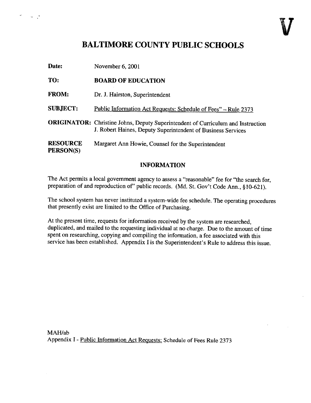## BALTIMORE COUNTY PUBLIC SCHOOLS

 $\theta^2 = \frac{1}{2} \cos \theta + \frac{1}{2} \sin \theta$ 

| Date:                        | November 6, 2001                                                                                                                                        |
|------------------------------|---------------------------------------------------------------------------------------------------------------------------------------------------------|
| TO:                          | <b>BOARD OF EDUCATION</b>                                                                                                                               |
| <b>FROM:</b>                 | Dr. J. Hairston, Superintendent                                                                                                                         |
| <b>SUBJECT:</b>              | Public Information Act Requests: Schedule of Fees" - Rule 2373                                                                                          |
|                              | <b>ORIGINATOR:</b> Christine Johns, Deputy Superintendent of Curriculum and Instruction<br>J. Robert Haines, Deputy Superintendent of Business Services |
| <b>RESOURCE</b><br>PERSON(S) | Margaret Ann Howie, Counsel for the Superintendent                                                                                                      |

## INFORMATION

The Act permits a local government agency to assess a "reasonable" fee for "the search for, preparation of and reproduction of" public records. (Md. St. Gov't Code Ann., §10-621).

The school system has never instituted a system-wide fee schedule. The operating procedures that presently exist are limited to the Office of Purchasing.

At the present time, requests for information received by the system are researched, duplicated, and mailed to the requesting individual at no charge. Due to the arnount of time spent on researching, copying and compiling the information, <sup>a</sup> fee associated with this service has been established. Appendix <sup>I</sup> is the Superintendent's Rule to address this issue.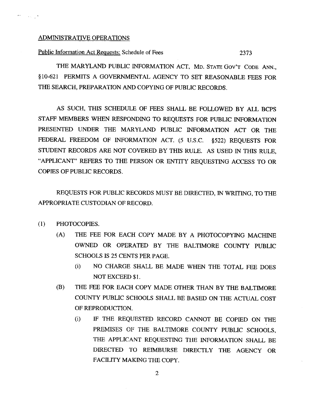## ADMINISTRATIVE OPERATIONS

 $\sigma_{\rm{max}}$  ,  $\sigma_{\rm{max}}$  ,

Public Information Act Requests: Schedule of Fees 2373

THE MARYLAND PUBLIC INFORMATION ACT, MD. STATE GOV'T CODE ANN., §10-621 PERMITS A GOVERNMENTAL AGENCY TO SET REASONABLE FEES FOR THE SEARCH, PREPARATION AND COPYING OF PUBLIC RECORDS.

AS SUCH, THIS SCHEDULE OF FEES SHALL BE FOLLOWED BY ALL BCPS STAFF MEMBERS WHEN RESPONDING TO REQUESTS FOR PUBLIC INFORMATION PRESENTED UNDER THE MARYLAND PUBLIC INFORMATION ACT OR THE FEDERAL FREEDOM OF INFORMATION ACT. (5 U.S.C. §522) REQUESTS FOR STUDENT RECORDS ARE NOT COVERED BY THIS RULE. AS USED IN THIS RULE, "APPLICANT" REFERS TO THE PERSON OR ENTITY REQUESTING ACCESS TO OR COPIES OF PUBLIC RECORDS .

REQUESTS FOR PUBLIC RECORDS MUST BE DIRECTED, IN WRITING, TO THE APPROPRIATE CUSTODIAN OF RECORD.

- (1) PHOTOCOPIES.
	- (A) THE FEE FOR EACH COPY MADE BY A PHOTOCOPYING MACHINE OWNED OR OPERATED BY THE BALTIMORE COUNTY PUBLIC SCHOOLS IS <sup>25</sup> CENTS PER PAGE.
		- (i) NO CHARGE SHALL BE MADE WHEN THE TOTAL FEE DOES NOT EXCEED \$1 .
	- (B) THE FEE FOR EACH COPY MADE OTHER THAN BY THE BALTIMORE COUNTY PUBLIC SCHOOLS SHALL BE BASED ON THE ACTUAL COST OF REPRODUCTION.
		- (i) IF THE REQUESTED RECORD CANNOT BE COPIED ON THE PREMISES OF THE BALTIMORE COUNTY PUBLIC SCHOOLS, THE APPLICANT REQUESTING THE INFORMATION SHALL BE DIRECTED TO REIMBURSE DIRECTLY THE AGENCY OR FACILITY MAKING THE COPY.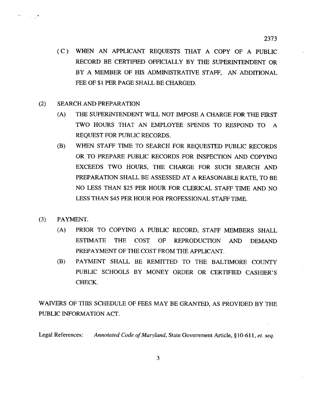- (C) WHEN AN APPLICANT REQUESTS THAT A COPY OF A PUBLIC RECORD BE CERTIFIED OFFICIALLY BY THE SUPERINTENDENT OR BY A MEMBER OF HIS ADMINISTRATIVE STAFF, AN ADDITIONAL FEE OF \$1 PER PAGE SHALL BE CHARGED.
- (2) SEARCH AND PREPARATION
	- (A) THE SUPERINTENDENT WILL NOT IMPOSE A CHARGE FOR THE FIRST TWO HOURS THAT AN EMPLOYEE SPENDS TO RESPOND TO A REQUEST FOR PUBLIC RECORDS.
	- (B) WHEN STAFF TIME TO SEARCH FOR REQUESTED PUBLIC RECORDS OR TO PREPARE PUBLIC RECORDS FOR INSPECTION AND COPYING EXCEEDS TWO HOURS, THE CHARGE FOR SUCH SEARCH AND PREPARATION SHALL BE ASSESSED AT A REASONABLE RATE, TO BE NO LESS THAN \$25 PER HOUR FOR CLERICAL STAFF TIME AND NO LESS THAN \$45 PER HOUR FOR PROFESSIONAL STAFF TIME.
- (3) PAYMENT.

 $\Delta\mathbf{y}$  and

م بن

- (A) PRIOR TO COPYING A PUBLIC RECORD, STAFF MEMBERS SHALL ESTIMATE THE COST OF REPRODUCTION AND DEMAND PREPAYMENT OF THE COST FROM THE APPLICANT.
- (B) PAYMENT SHALL BE REMITTED TO THE BALTIMORE COUNTY PUBLIC SCHOOLS BY MONEY ORDER OR CERTIFIED CASHIER'S CHECK.

WAIVERS OF THIS SCHEDULE OF FEES MAY BE GRANTED, AS PROVIDED BY THE PUBLIC INFORMATION ACT.

Legal References: Annotated Code of Maryland, State Government Article, §10-611, et. seq.

3